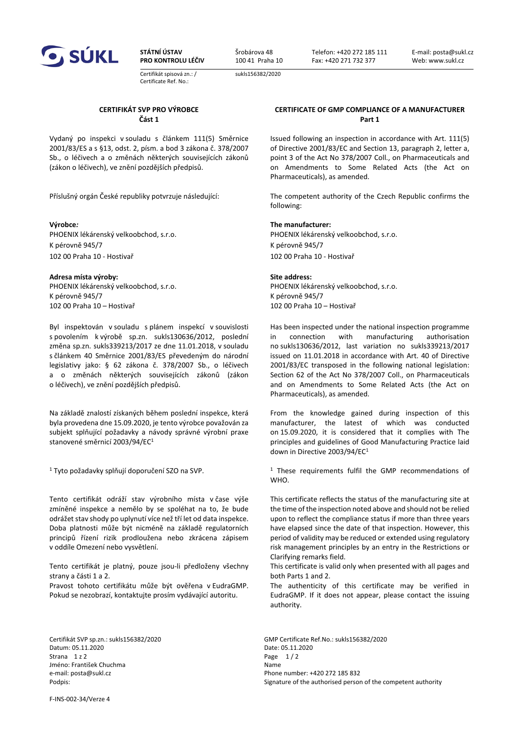

**STÁTNÍ ÚSTAV PRO KONTROLU LÉČIV**

Certifikát spisová zn.: / Certificate Ref. No.:

Šrobárova 48 100 41 Praha 10 sukls156382/2020

Telefon: +420 272 185 111 Fax: +420 271 732 377

E-mail: posta@sukl.cz Web: www.sukl.cz

# **CERTIFIKÁT SVP PRO VÝROBCE Část 1**

Vydaný po inspekci v souladu s článkem 111(5) Směrnice 2001/83/ES a s §13, odst. 2, písm. a bod 3 zákona č. 378/2007 Sb., o léčivech a o změnách některých souvisejících zákonů (zákon o léčivech), ve znění pozdějších předpisů.

PHOENIX lékárenský velkoobchod, s.r.o. PHOENIX lékárenský velkoobchod, s.r.o. K pérovně 945/7 K pérovně 945/7 102 00 Praha 10 - Hostivař 102 00 Praha 10 - Hostivař

### **Adresa místa výroby: Site address:**

PHOENIX lékárenský velkoobchod, s.r.o. K pérovně 945/7 102 00 Praha 10 – Hostivař 102 00 Praha 10 – Hostivař

Byl inspektován v souladu s plánem inspekcí v souvislosti s povolením k výrobě sp.zn. sukls130636/2012, poslední změna sp.zn. sukls339213/2017 ze dne 11.01.2018, v souladu s článkem 40 Směrnice 2001/83/ES převedeným do národní legislativy jako: § 62 zákona č. 378/2007 Sb., o léčivech a o změnách některých souvisejících zákonů (zákon o léčivech), ve znění pozdějších předpisů.

Na základě znalostí získaných během poslední inspekce, která byla provedena dne 15.09.2020, je tento výrobce považován za subjekt splňující požadavky a návody správné výrobní praxe stanovené směrnicí 2003/94/EC<sup>1</sup>

1 Tyto požadavky splňují doporučení SZO na SVP.

Tento certifikát odráží stav výrobního místa v čase výše zmíněné inspekce a nemělo by se spoléhat na to, že bude odrážet stav shody po uplynutí více než tří let od data inspekce. Doba platnosti může být nicméně na základě regulatorních principů řízení rizik prodloužena nebo zkrácena zápisem v oddíle Omezení nebo vysvětlení.

Tento certifikát je platný, pouze jsou-li předloženy všechny strany a části 1 a 2.

Pravost tohoto certifikátu může být ověřena v EudraGMP. Pokud se nezobrazí, kontaktujte prosím vydávající autoritu.

Datum: 05.11.2020 Date: 05.11.2020 Strana  $1 z 2$  Page  $1 / 2$ Jméno: František Chuchma Name e-mail: posta@sukl.cz extending the mail: posta@sukl.cz extending the mail: posta@sukl.cz

### **CERTIFICATE OF GMP COMPLIANCE OF A MANUFACTURER Part 1**

Issued following an inspection in accordance with Art. 111(5) of Directive 2001/83/EC and Section 13, paragraph 2, letter a, point 3 of the Act No 378/2007 Coll., on Pharmaceuticals and on Amendments to Some Related Acts (the Act on Pharmaceuticals), as amended.

Příslušný orgán České republiky potvrzuje následující: The competent authority of the Czech Republic confirms the following:

## **Výrobce***:* **The manufacturer:**

PHOENIX lékárenský velkoobchod, s.r.o. K pérovně 945/7

Has been inspected under the national inspection programme in connection with manufacturing authorisation no sukls130636/2012, last variation no sukls339213/2017 issued on 11.01.2018 in accordance with Art. 40 of Directive 2001/83/EC transposed in the following national legislation: Section 62 of the Act No 378/2007 Coll., on Pharmaceuticals and on Amendments to Some Related Acts (the Act on Pharmaceuticals), as amended.

From the knowledge gained during inspection of this manufacturer, the latest of which was conducted on 15.09.2020, it is considered that it complies with The principles and guidelines of Good Manufacturing Practice laid down in Directive 2003/94/EC<sup>1</sup>

<sup>1</sup> These requirements fulfil the GMP recommendations of WHO.

This certificate reflects the status of the manufacturing site at the time of the inspection noted above and should not be relied upon to reflect the compliance status if more than three years have elapsed since the date of that inspection. However, this period of validity may be reduced or extended using regulatory risk management principles by an entry in the Restrictions or Clarifying remarks field.

This certificate is valid only when presented with all pages and both Parts 1 and 2.

The authenticity of this certificate may be verified in EudraGMP. If it does not appear, please contact the issuing authority.

Certifikát SVP sp.zn.: sukls156382/2020 GMP Certificate Ref.No.: sukls156382/2020 Podpis: **Signature of the authorised person of the competent authority Signature of the competent authority** 

F-INS-002-34/Verze 4